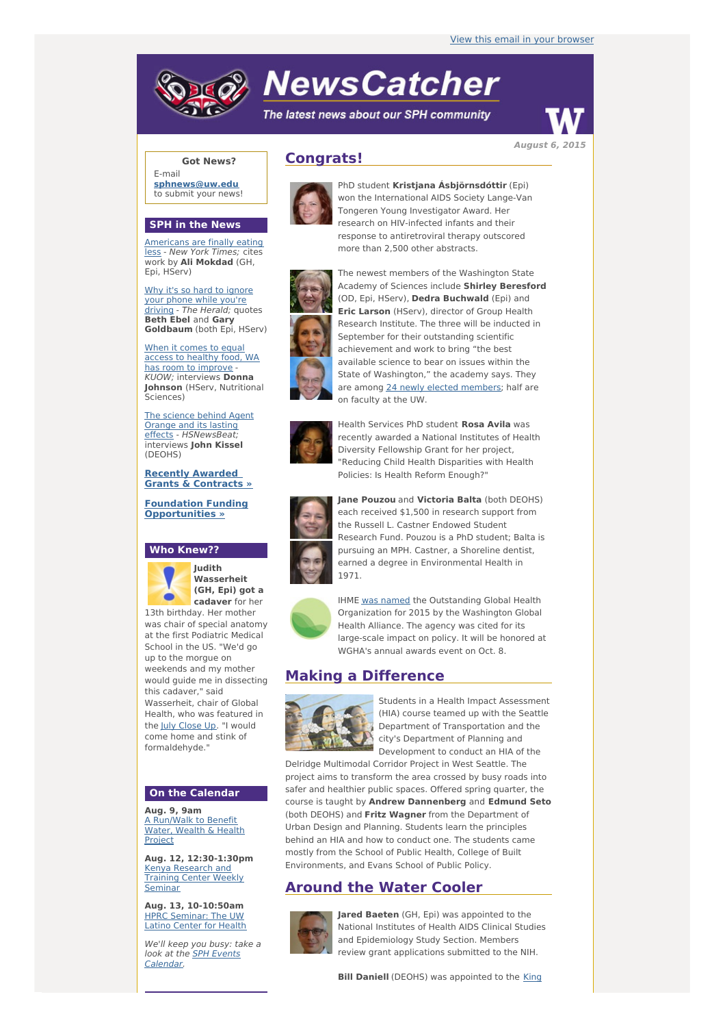# **NewsCatcher**

The latest news about our SPH community



**August 6, 2015**

## **Got News?**

E-mail **[sphnews@uw.edu](mailto:sphnews@uw.edu)** to submit your news!

#### **SPH in the News**

[Americans](http://engage.washington.edu/site/R?i=FSmm3DFdpRG4zaDsGpjSKg) are finally eating less - New York Times; cites work by **Ali Mokdad** (GH, Epi, HServ)

Why it's so hard to ignore your phone while [you're](http://engage.washington.edu/site/R?i=HUoCV5UmogZnhDlpTw5Ieg) driving - The Herald; quotes **Beth Ebel** and **Gary Goldbaum** (both Epi, HServ)

When it comes to equal access to healthy food, WA has room to [improve](http://engage.washington.edu/site/R?i=w6dA2o9xX409famxHgFwLw) - KUOW; interviews **Donna Johnson** (HServ, Nutritional Sciences)

The science behind Agent Orange and its lasting effects - [HSNewsBeat;](http://engage.washington.edu/site/R?i=ejUGfmmRk6NRh6oRss0pqQ) interviews **John Kissel** (DEOHS)

**Recently Awarded Grants & [Contracts](http://engage.washington.edu/site/R?i=4gnPKp_8sY_h5RNQauZXdA) »**

**Foundation Funding**

### **Who Knew??**

**[Opportunities](http://engage.washington.edu/site/R?i=cls6kqbIA21B8ALR2H98_A) »**



**Judith Wasserheit (GH, Epi) got a cadaver** for her

13th birthday. Her mother was chair of special anatomy at the first Podiatric Medical School in the US. "We'd go up to the morgue on weekends and my mother would guide me in dissecting this cadaver," said Wasserheit, chair of Global Health, who was featured in the July [Close](http://engage.washington.edu/site/R?i=GhNISFyIhWAE4_MXCCHdlA) Up. "I would come home and stink of formaldehyde."

## **On the Calendar**

**Aug. 9, 9am** A [Run/Walk](http://engage.washington.edu/site/R?i=JA7YDhRY5ODxVzderZLhPA) to Benefit Water, Wealth & Health **Project** 

**Aug. 12, 12:30-1:30pm** Kenya [Research](http://engage.washington.edu/site/R?i=uBW8frNxLHjl7PFxJa0RXQ) and Training Center Weekly Seminar

**Aug. 13, 10-10:50am** HPRC [Seminar:](http://engage.washington.edu/site/R?i=ecnnlR_X6gNKkp4LqqH8-Q) The UW Latino Center for Health

We'll keep you busy: take a look at the **SPH Events** [Calendar.](http://engage.washington.edu/site/R?i=CFxAvybdNkbyK8ijmNo2cA)

# **Congrats!**



PhD student **Kristjana Ásbjörnsdóttir** (Epi) won the International AIDS Society Lange-Van Tongeren Young Investigator Award. Her research on HIV-infected infants and their response to antiretroviral therapy outscored more than 2,500 other abstracts.



The newest members of the Washington State Academy of Sciences include **Shirley Beresford** (OD, Epi, HServ), **Dedra Buchwald** (Epi) and **Eric Larson** (HServ), director of Group Health Research Institute. The three will be inducted in September for their outstanding scientific achievement and work to bring "the best available science to bear on issues within the State of Washington," the academy says. They are among 24 newly elected [members](http://engage.washington.edu/site/R?i=DzqohvCejTATwG58xQ1n4w); half are on faculty at the UW.



Health Services PhD student **Rosa Avila** was recently awarded a National Institutes of Health Diversity Fellowship Grant for her project, "Reducing Child Health Disparities with Health Policies: Is Health Reform Enough?"



**Jane Pouzou** and **Victoria Balta** (both DEOHS) each received \$1,500 in research support from the Russell L. Castner Endowed Student Research Fund. Pouzou is a PhD student; Balta is pursuing an MPH. Castner, a Shoreline dentist, earned a degree in Environmental Health in 1971.



IHME was [named](http://engage.washington.edu/site/R?i=JqiJFqgg4ouUDwNbFxiHrg) the Outstanding Global Health Organization for 2015 by the Washington Global Health Alliance. The agency was cited for its large-scale impact on policy. It will be honored at WGHA's annual awards event on Oct. 8.

## **Making a Difference**



Students in a Health Impact Assessment (HIA) course teamed up with the Seattle Department of Transportation and the city's Department of Planning and Development to conduct an HIA of the

Delridge Multimodal Corridor Project in West Seattle. The project aims to transform the area crossed by busy roads into safer and healthier public spaces. Offered spring quarter, the course is taught by **Andrew Dannenberg** and **Edmund Seto** (both DEOHS) and **Fritz Wagner** from the Department of Urban Design and Planning. Students learn the principles behind an HIA and how to conduct one. The students came mostly from the School of Public Health, College of Built Environments, and Evans School of Public Policy.

## **Around the Water Cooler**



**Jared Baeten** (GH, Epi) was appointed to the National Institutes of Health AIDS Clinical Studies and Epidemiology Study Section. Members review grant applications submitted to the NIH.